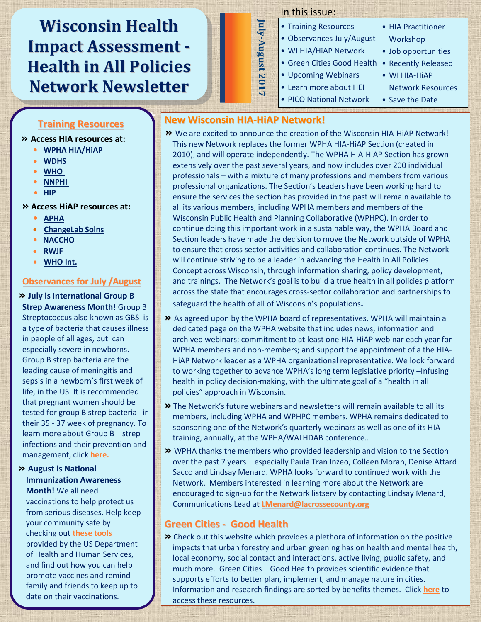## **Wisconsin Health Impact Assessment - Health in All Policies Network Newsletter**

#### In this issue:

- Training Resources
- Observances July/August
- WI HIA/HiAP Network
- Green Cities Good Health Recently Released
- Upcoming Webinars
- Learn more about HEI
- PICO National Network
- HIA Practitioner Workshop
- Job opportunities
- WI HIA-HiAP
- Network Resources • Save the Date

# **Training Resources**

**Examing Recourded**<br>• Access HIA resources at:

- Abby Jackson **• [WPHA HIA/HiAP](http://www.wpha.org/?page=hia_library)**
- **[WDHS](https://www.dhs.wisconsin.gov/hia/webcasts.htm)**
- <u>WHO</u> **•** 2008
	- **• NNPHI**
	- m e m b e r o f t h e W P H A **• [HIP](http://www.humanimpact.org/capacity-building/hia-tools-and-resources/)**
- H I A s e c t i o n l e a d e r s h i partir e a d e r s h i partir e a d e r s h i partir e r s h i partir e r<br>H i partir e r s h i partir e r s h i partir e r s h i partir e r s h i partir e r s h i partir e r s h i part  $\rightarrow$  Access HiAP resources at:
	- c o [m m u n](http://apha.org/topics-and-issues/health-in-all-policies) i c a t i o n s o f f i c e r **• APHA**
	- **•** ChangeLab Solns
	- **•** <u>NACCHO</u>
	- **RWJF**
	- **WHO Int.**

#### **<u>Observances for July /August</u>**

**»** July is International Group B **Strep Awareness Month!** Group B Strep Awareness Month: Group B<br>Streptococcus also known as GBS is Streptococcus also Khown as GBS 13<br>a type of bacteria that causes illness a type or bacteria triat causes i<br>in people of all ages, but can In people of an ages, but can<br>especially severe in newborns. especially severe in newborns.<br>Group B strep bacteria are the roup is strep bacteria are the leading cause of meningitis and<br>cansis in a nauthary's first weaks sepsis in a newborn's first week of<br>life in the US It is reconnected life, in the US. It is recommended that pregnant women should be tested for group B strep bacteria in their 35 - 37 week of pregnancy. To  $\vert$ learn more about Group B strep infections and their prevention and management, click <mark>here.</mark><br>.

#### **»** August is National **With Strate Immunization Awareness**

**Month!** We all need vaccinations to help protect us from serious diseases. Help keep your community safe by ,<br>checking out <u>these tools</u> provided by the US Department of Health and Human Services, and find out how you can help end mid such only successively A b b y ! family and friends to keep up to date on their vaccinations.

## **New Wisconsin HIA-HiAP Network!**

**July-August 2017**

Iuly-August 2017

- **»** We are excited to announce the creation of the Wisconsin HIA-HiAP Network! This new Network replaces the former WPHA HIA-HiAP Section (created in 2010), and will operate independently. The WPHA HIA-HiAP Section has grown extensively over the past several years, and now includes over 200 individual professionals – with a mixture of many professions and members from various professional organizations. The Section's Leaders have been working hard to ensure the services the section has provided in the past will remain available to all its various members, including WPHA members and members of the Wisconsin Public Health and Planning Collaborative (WPHPC). In order to continue doing this important work in a sustainable way, the WPHA Board and Section leaders have made the decision to move the Network outside of WPHA to ensure that cross sector activities and collaboration continues. The Network will continue striving to be a leader in advancing the Health in All Policies Concept across Wisconsin, through information sharing, policy development, and trainings. The Network's goal is to build a true health in all policies platform across the state that encourages cross-sector collaboration and partnerships to safeguard the health of all of Wisconsin's populations**.**
- **»** As agreed upon by the WPHA board of representatives, WPHA will maintain a dedicated page on the WPHA website that includes news, information and archived webinars; commitment to at least one HIA-HiAP webinar each year for WPHA members and non-members; and support the appointment of a the HIA-HiAP Network leader as a WPHA organizational representative. We look forward to working together to advance WPHA's long term legislative priority –Infusing health in policy decision-making, with the ultimate goal of a "health in all policies" approach in Wisconsin*.*
- **»** The Network's future webinars and newsletters will remain available to all its members, including WPHA and WPHPC members. WPHA remains dedicated to sponsoring one of the Network's quarterly webinars as well as one of its HIA training, annually, at the WPHA/WALHDAB conference..
- **»** WPHA thanks the members who provided leadership and vision to the Section over the past 7 years – especially Paula Tran Inzeo, Colleen Moran, Denise Attard Sacco and Lindsay Menard. WPHA looks forward to continued work with the Network. Members interested in learning more about the Network are encouraged to sign-up for the Network listserv by contacting Lindsay Menard, Communications Lead at **[LMenard@lacrossecounty.org](mailto:LMenard@lacrossecounty.org)**

## **Green Cities - Good Health**

**»** Check out this website which provides a plethora of information on the positive impacts that urban forestry and urban greening has on health and mental health, local economy, social contact and interactions, active living, public safety, and much more. Green Cities – Good Health provides scientific evidence that supports efforts to better plan, implement, and manage nature in cities. Information and research findings are sorted by benefits themes. Click **[here](http://depts.washington.edu/hhwb/)** to access these resources.